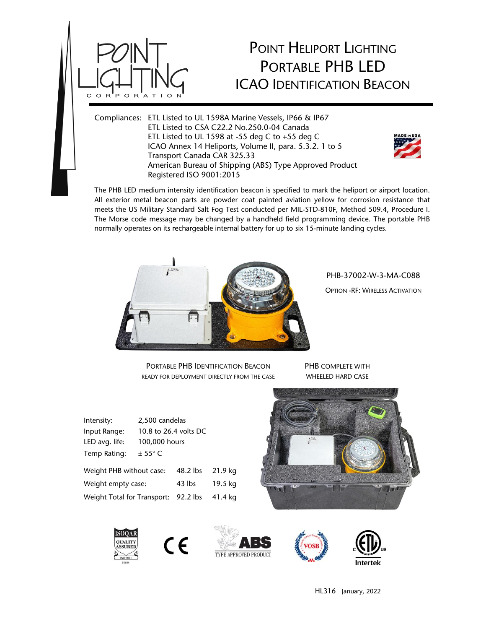

## POINT HELIPORT LIGHTING PORTABLE PHB LED ICAO IDENTIFICATION BEACON

Compliances: ETL Listed to UL 1598A Marine Vessels, IP66 & IP67 ETL Listed to CSA C22.2 No.250.0-04 Canada ETL Listed to UL 1598 at -55 deg C to +55 deg C ICAO Annex 14 Heliports, Volume II, para. 5.3.2. 1 to 5 Transport Canada CAR 325.33 American Bureau of Shipping (ABS) Type Approved Product Registered ISO 9001:2015



The PHB LED medium intensity identification beacon is specified to mark the heliport or airport location. All exterior metal beacon parts are powder coat painted aviation yellow for corrosion resistance that meets the US Military Standard Salt Fog Test conducted per MIL-STD-810F, Method 509.4, Procedure I. The Morse code message may be changed by a handheld field programming device. The portable PHB normally operates on its rechargeable internal battery for up to six 15-minute landing cycles.



PHB-37002-W-3-MA-C088

OPTION -RF: WIRELESS ACTIVATION

PORTABLE PHB IDENTIFICATION BEACON READY FOR DEPLOYMENT DIRECTLY FROM THE CASE

PHB COMPLETE WITH WHEELED HARD CASE

| Intensity:                  | 2,500 candelas        |            |         |
|-----------------------------|-----------------------|------------|---------|
| Input Range:                | 10.8 to 26.4 volts DC |            |         |
| LED avg. life:              | 100,000 hours         |            |         |
| Temp Rating:                | $\pm$ 55° C           |            |         |
| Weight PHB without case:    |                       | $48.2$ lbs | 21.9 kg |
| Weight empty case:          |                       | 43 lbs     | 19.5 kg |
| Weight Total for Transport: |                       | 92.2 lbs   | 41.4 kg |

 $\epsilon$